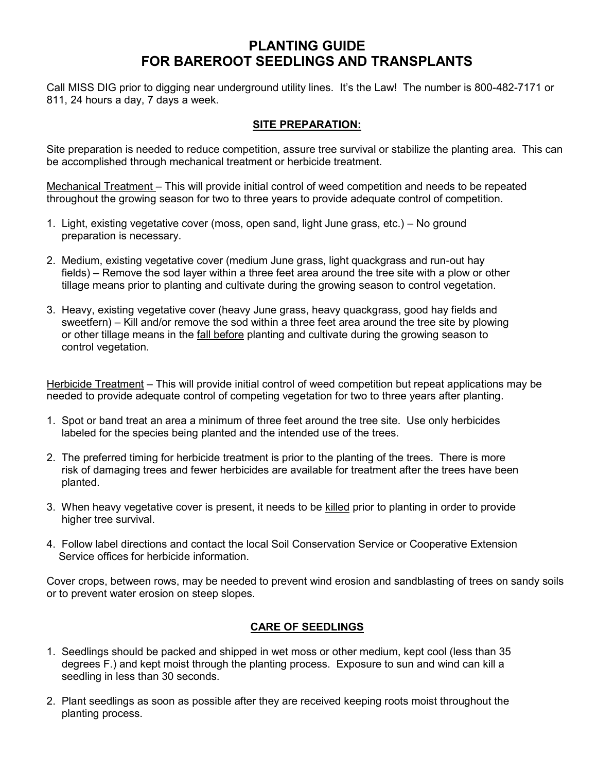# **PLANTING GUIDE FOR BAREROOT SEEDLINGS AND TRANSPLANTS**

Call MISS DIG prior to digging near underground utility lines. It's the Law! The number is 800-482-7171 or 811, 24 hours a day, 7 days a week.

## **SITE PREPARATION:**

Site preparation is needed to reduce competition, assure tree survival or stabilize the planting area. This can be accomplished through mechanical treatment or herbicide treatment.

Mechanical Treatment – This will provide initial control of weed competition and needs to be repeated throughout the growing season for two to three years to provide adequate control of competition.

- 1. Light, existing vegetative cover (moss, open sand, light June grass, etc.) No ground preparation is necessary.
- 2. Medium, existing vegetative cover (medium June grass, light quackgrass and run-out hay fields) – Remove the sod layer within a three feet area around the tree site with a plow or other tillage means prior to planting and cultivate during the growing season to control vegetation.
- 3. Heavy, existing vegetative cover (heavy June grass, heavy quackgrass, good hay fields and sweetfern) – Kill and/or remove the sod within a three feet area around the tree site by plowing or other tillage means in the fall before planting and cultivate during the growing season to control vegetation.

Herbicide Treatment – This will provide initial control of weed competition but repeat applications may be needed to provide adequate control of competing vegetation for two to three years after planting.

- 1. Spot or band treat an area a minimum of three feet around the tree site. Use only herbicides labeled for the species being planted and the intended use of the trees.
- 2. The preferred timing for herbicide treatment is prior to the planting of the trees. There is more risk of damaging trees and fewer herbicides are available for treatment after the trees have been planted.
- 3. When heavy vegetative cover is present, it needs to be killed prior to planting in order to provide higher tree survival.
- 4. Follow label directions and contact the local Soil Conservation Service or Cooperative Extension Service offices for herbicide information.

Cover crops, between rows, may be needed to prevent wind erosion and sandblasting of trees on sandy soils or to prevent water erosion on steep slopes.

### **CARE OF SEEDLINGS**

- 1. Seedlings should be packed and shipped in wet moss or other medium, kept cool (less than 35 degrees F.) and kept moist through the planting process. Exposure to sun and wind can kill a seedling in less than 30 seconds.
- 2. Plant seedlings as soon as possible after they are received keeping roots moist throughout the planting process.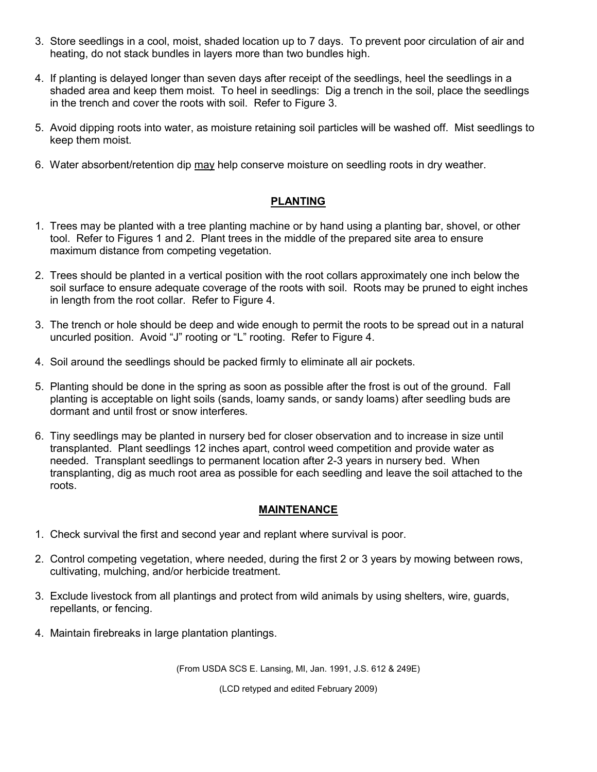- 3. Store seedlings in a cool, moist, shaded location up to 7 days. To prevent poor circulation of air and heating, do not stack bundles in layers more than two bundles high.
- 4. If planting is delayed longer than seven days after receipt of the seedlings, heel the seedlings in a shaded area and keep them moist. To heel in seedlings: Dig a trench in the soil, place the seedlings in the trench and cover the roots with soil. Refer to Figure 3.
- 5. Avoid dipping roots into water, as moisture retaining soil particles will be washed off. Mist seedlings to keep them moist.
- 6. Water absorbent/retention dip may help conserve moisture on seedling roots in dry weather.

#### **PLANTING**

- 1. Trees may be planted with a tree planting machine or by hand using a planting bar, shovel, or other tool. Refer to Figures 1 and 2. Plant trees in the middle of the prepared site area to ensure maximum distance from competing vegetation.
- 2. Trees should be planted in a vertical position with the root collars approximately one inch below the soil surface to ensure adequate coverage of the roots with soil. Roots may be pruned to eight inches in length from the root collar. Refer to Figure 4.
- 3. The trench or hole should be deep and wide enough to permit the roots to be spread out in a natural uncurled position. Avoid "J" rooting or "L" rooting. Refer to Figure 4.
- 4. Soil around the seedlings should be packed firmly to eliminate all air pockets.
- 5. Planting should be done in the spring as soon as possible after the frost is out of the ground. Fall planting is acceptable on light soils (sands, loamy sands, or sandy loams) after seedling buds are dormant and until frost or snow interferes.
- 6. Tiny seedlings may be planted in nursery bed for closer observation and to increase in size until transplanted. Plant seedlings 12 inches apart, control weed competition and provide water as needed. Transplant seedlings to permanent location after 2-3 years in nursery bed. When transplanting, dig as much root area as possible for each seedling and leave the soil attached to the roots.

#### **MAINTENANCE**

- 1. Check survival the first and second year and replant where survival is poor.
- 2. Control competing vegetation, where needed, during the first 2 or 3 years by mowing between rows, cultivating, mulching, and/or herbicide treatment.
- 3. Exclude livestock from all plantings and protect from wild animals by using shelters, wire, guards, repellants, or fencing.
- 4. Maintain firebreaks in large plantation plantings.

(From USDA SCS E. Lansing, MI, Jan. 1991, J.S. 612 & 249E)

(LCD retyped and edited February 2009)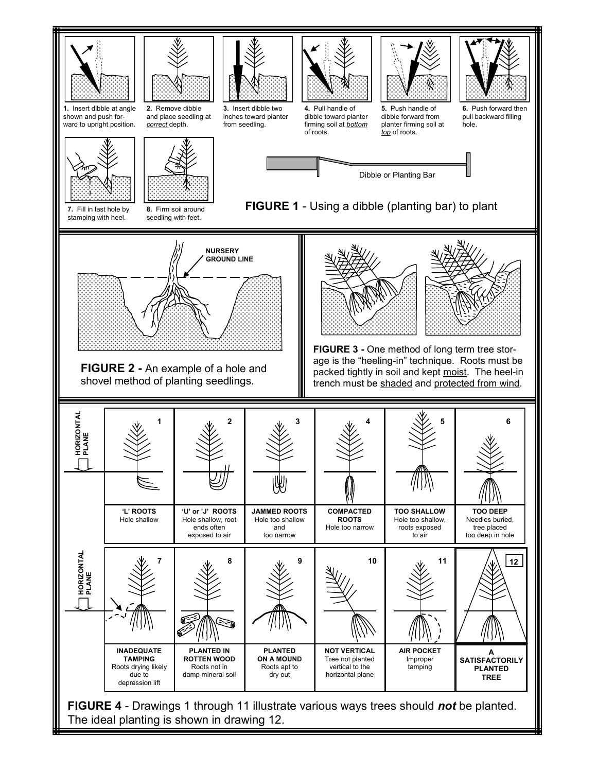